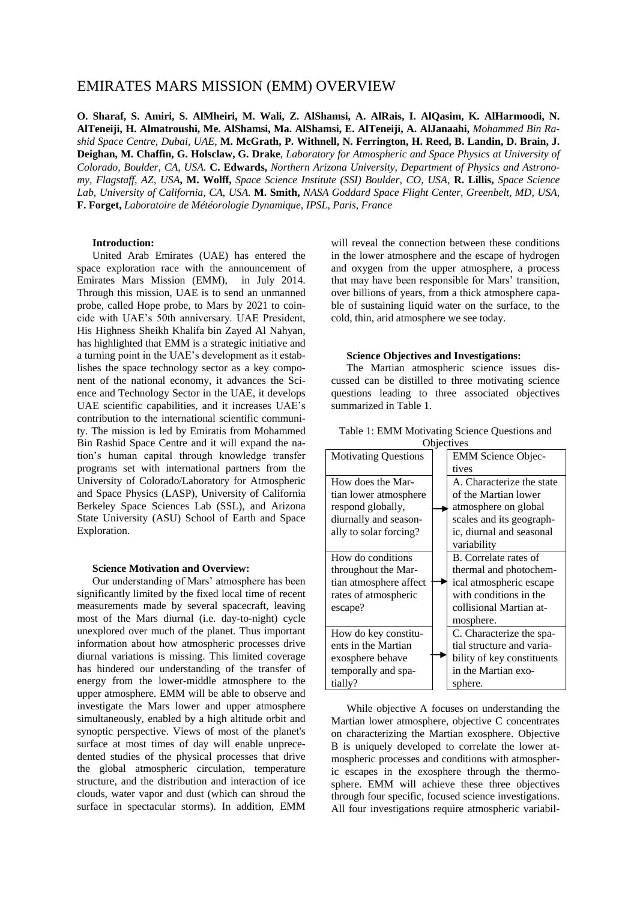# EMIRATES MARS MISSION (EMM) OVERVIEW

**O. Sharaf, S. Amiri, S. AlMheiri, M. Wali, Z. AlShamsi, A. AlRais, I. AlQasim, K. AlHarmoodi, N. AlTeneiji, H. Almatroushi, Me. AlShamsi, Ma. AlShamsi, E. AlTeneiji, A. AlJanaahi,** *Mohammed Bin Rashid Space Centre, Dubai, UAE*, **M. McGrath, P. Withnell, N. Ferrington, H. Reed, B. Landin, D. Brain, J. Deighan, M. Chaffin, G. Holsclaw, G. Drake**, *Laboratory for Atmospheric and Space Physics at University of Colorado, Boulder, CA, USA.* **C. Edwards,** *Northern Arizona University, Department of Physics and Astronomy, Flagstaff, AZ, USA***, M. Wolff,** *Space Science Institute (SSI) Boulder, CO, USA,* **R. Lillis,** *Space Science Lab, University of California, CA, USA.* **M. Smith,** *NASA Goddard Space Flight Center, Greenbelt, MD, USA,* **F. Forget,** *Laboratoire de Météorologie Dynamique, IPSL, Paris, France*

## **Introduction:**

United Arab Emirates (UAE) has entered the space exploration race with the announcement of Emirates Mars Mission (EMM), in July 2014. Through this mission, UAE is to send an unmanned probe, called Hope probe, to Mars by 2021 to coincide with UAE's 50th anniversary. UAE President, His Highness Sheikh Khalifa bin Zayed Al Nahyan, has highlighted that EMM is a strategic initiative and a turning point in the UAE's development as it establishes the space technology sector as a key component of the national economy, it advances the Science and Technology Sector in the UAE, it develops UAE scientific capabilities, and it increases UAE's contribution to the international scientific community. The mission is led by Emiratis from Mohammed Bin Rashid Space Centre and it will expand the nation's human capital through knowledge transfer programs set with international partners from the University of Colorado/Laboratory for Atmospheric and Space Physics (LASP), University of California Berkeley Space Sciences Lab (SSL), and Arizona State University (ASU) School of Earth and Space Exploration.

#### **Science Motivation and Overview:**

Our understanding of Mars' atmosphere has been significantly limited by the fixed local time of recent measurements made by several spacecraft, leaving most of the Mars diurnal (i.e. day-to-night) cycle unexplored over much of the planet. Thus important information about how atmospheric processes drive diurnal variations is missing. This limited coverage has hindered our understanding of the transfer of energy from the lower-middle atmosphere to the upper atmosphere. EMM will be able to observe and investigate the Mars lower and upper atmosphere simultaneously, enabled by a high altitude orbit and synoptic perspective. Views of most of the planet's surface at most times of day will enable unprecedented studies of the physical processes that drive the global atmospheric circulation, temperature structure, and the distribution and interaction of ice clouds, water vapor and dust (which can shroud the surface in spectacular storms). In addition, EMM

will reveal the connection between these conditions in the lower atmosphere and the escape of hydrogen and oxygen from the upper atmosphere, a process that may have been responsible for Mars' transition, over billions of years, from a thick atmosphere capable of sustaining liquid water on the surface, to the cold, thin, arid atmosphere we see today.

## **Science Objectives and Investigations:**

The Martian atmospheric science issues discussed can be distilled to three motivating science questions leading to three associated objectives summarized in Table 1.

| Table 1: EMM Motivating Science Questions and |  |                            |  |  |
|-----------------------------------------------|--|----------------------------|--|--|
| Objectives                                    |  |                            |  |  |
| <b>Motivating Questions</b>                   |  | <b>EMM Science Objec-</b>  |  |  |
|                                               |  | tives                      |  |  |
| How does the Mar-                             |  | A. Characterize the state  |  |  |
| tian lower atmosphere                         |  | of the Martian lower       |  |  |
| respond globally,                             |  | atmosphere on global       |  |  |
| diurnally and season-                         |  | scales and its geograph-   |  |  |
| ally to solar forcing?                        |  | ic, diurnal and seasonal   |  |  |
|                                               |  | variability                |  |  |
| How do conditions                             |  | B. Correlate rates of      |  |  |
| throughout the Mar-                           |  | thermal and photochem-     |  |  |
| tian atmosphere affect                        |  | ical atmospheric escape    |  |  |
| rates of atmospheric                          |  | with conditions in the     |  |  |
| escape?                                       |  | collisional Martian at-    |  |  |
|                                               |  | mosphere.                  |  |  |
| How do key constitu-                          |  | C. Characterize the spa-   |  |  |
| ents in the Martian                           |  | tial structure and varia-  |  |  |
| exosphere behave                              |  | bility of key constituents |  |  |
| temporally and spa-                           |  | in the Martian exo-        |  |  |
| tially?                                       |  | sphere.                    |  |  |

While objective A focuses on understanding the Martian lower atmosphere, objective C concentrates on characterizing the Martian exosphere. Objective B is uniquely developed to correlate the lower atmospheric processes and conditions with atmospheric escapes in the exosphere through the thermosphere. EMM will achieve these three objectives through four specific, focused science investigations. All four investigations require atmospheric variabil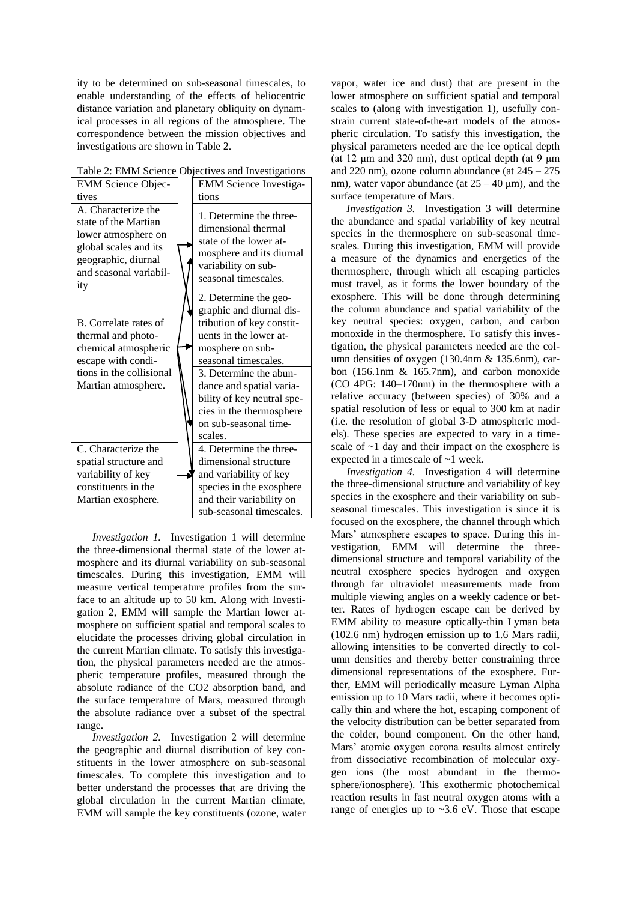ity to be determined on sub-seasonal timescales, to enable understanding of the effects of heliocentric distance variation and planetary obliquity on dynamical processes in all regions of the atmosphere. The correspondence between the mission objectives and investigations are shown in Table 2.

| Table 2: EMM Science Objectives and Investigations |
|----------------------------------------------------|
|----------------------------------------------------|

| <b>EMM Science Objec-</b>                                                                                                                           | <b>EMM</b> Science Investiga-                                                                                                                       |
|-----------------------------------------------------------------------------------------------------------------------------------------------------|-----------------------------------------------------------------------------------------------------------------------------------------------------|
| tives                                                                                                                                               | tions                                                                                                                                               |
| A. Characterize the<br>state of the Martian<br>lower atmosphere on<br>global scales and its<br>geographic, diurnal<br>and seasonal variabil-<br>ity | 1. Determine the three-<br>dimensional thermal<br>state of the lower at-<br>mosphere and its diurnal<br>variability on sub-<br>seasonal timescales. |
| B. Correlate rates of<br>thermal and photo-                                                                                                         | 2. Determine the geo-<br>graphic and diurnal dis-<br>tribution of key constit-<br>uents in the lower at-                                            |
| chemical atmospheric<br>escape with condi-                                                                                                          | mosphere on sub-<br>seasonal timescales.                                                                                                            |
| tions in the collisional<br>Martian atmosphere.                                                                                                     | 3. Determine the abun-<br>dance and spatial varia-<br>bility of key neutral spe-<br>cies in the thermosphere<br>on sub-seasonal time-<br>scales.    |
| C. Characterize the                                                                                                                                 | 4. Determine the three-                                                                                                                             |
| spatial structure and                                                                                                                               | dimensional structure                                                                                                                               |
| variability of key                                                                                                                                  | and variability of key                                                                                                                              |
| constituents in the                                                                                                                                 | species in the exosphere                                                                                                                            |
| Martian exosphere.                                                                                                                                  | and their variability on                                                                                                                            |
|                                                                                                                                                     | sub-seasonal timescales.                                                                                                                            |

*Investigation 1.* Investigation 1 will determine the three-dimensional thermal state of the lower atmosphere and its diurnal variability on sub-seasonal timescales. During this investigation, EMM will measure vertical temperature profiles from the surface to an altitude up to 50 km. Along with Investigation 2, EMM will sample the Martian lower atmosphere on sufficient spatial and temporal scales to elucidate the processes driving global circulation in the current Martian climate. To satisfy this investigation, the physical parameters needed are the atmospheric temperature profiles, measured through the absolute radiance of the CO2 absorption band, and the surface temperature of Mars, measured through the absolute radiance over a subset of the spectral range.

*Investigation 2.* Investigation 2 will determine the geographic and diurnal distribution of key constituents in the lower atmosphere on sub-seasonal timescales. To complete this investigation and to better understand the processes that are driving the global circulation in the current Martian climate, EMM will sample the key constituents (ozone, water vapor, water ice and dust) that are present in the lower atmosphere on sufficient spatial and temporal scales to (along with investigation 1), usefully constrain current state-of-the-art models of the atmospheric circulation. To satisfy this investigation, the physical parameters needed are the ice optical depth (at 12  $\mu$ m and 320 nm), dust optical depth (at 9  $\mu$ m and 220 nm), ozone column abundance (at  $245 - 275$ nm), water vapor abundance (at  $25 - 40$  um), and the surface temperature of Mars.

*Investigation 3.* Investigation 3 will determine the abundance and spatial variability of key neutral species in the thermosphere on sub-seasonal timescales. During this investigation, EMM will provide a measure of the dynamics and energetics of the thermosphere, through which all escaping particles must travel, as it forms the lower boundary of the exosphere. This will be done through determining the column abundance and spatial variability of the key neutral species: oxygen, carbon, and carbon monoxide in the thermosphere. To satisfy this investigation, the physical parameters needed are the column densities of oxygen (130.4nm & 135.6nm), carbon (156.1nm & 165.7nm), and carbon monoxide (CO 4PG: 140–170nm) in the thermosphere with a relative accuracy (between species) of 30% and a spatial resolution of less or equal to 300 km at nadir (i.e. the resolution of global 3-D atmospheric models). These species are expected to vary in a timescale of  $\sim$ 1 day and their impact on the exosphere is expected in a timescale of ~1 week.

*Investigation 4.* Investigation 4 will determine the three-dimensional structure and variability of key species in the exosphere and their variability on subseasonal timescales. This investigation is since it is focused on the exosphere, the channel through which Mars' atmosphere escapes to space. During this investigation, EMM will determine the threedimensional structure and temporal variability of the neutral exosphere species hydrogen and oxygen through far ultraviolet measurements made from multiple viewing angles on a weekly cadence or better. Rates of hydrogen escape can be derived by EMM ability to measure optically-thin Lyman beta (102.6 nm) hydrogen emission up to 1.6 Mars radii, allowing intensities to be converted directly to column densities and thereby better constraining three dimensional representations of the exosphere. Further, EMM will periodically measure Lyman Alpha emission up to 10 Mars radii, where it becomes optically thin and where the hot, escaping component of the velocity distribution can be better separated from the colder, bound component. On the other hand, Mars' atomic oxygen corona results almost entirely from dissociative recombination of molecular oxygen ions (the most abundant in the thermosphere/ionosphere). This exothermic photochemical reaction results in fast neutral oxygen atoms with a range of energies up to  $\sim$ 3.6 eV. Those that escape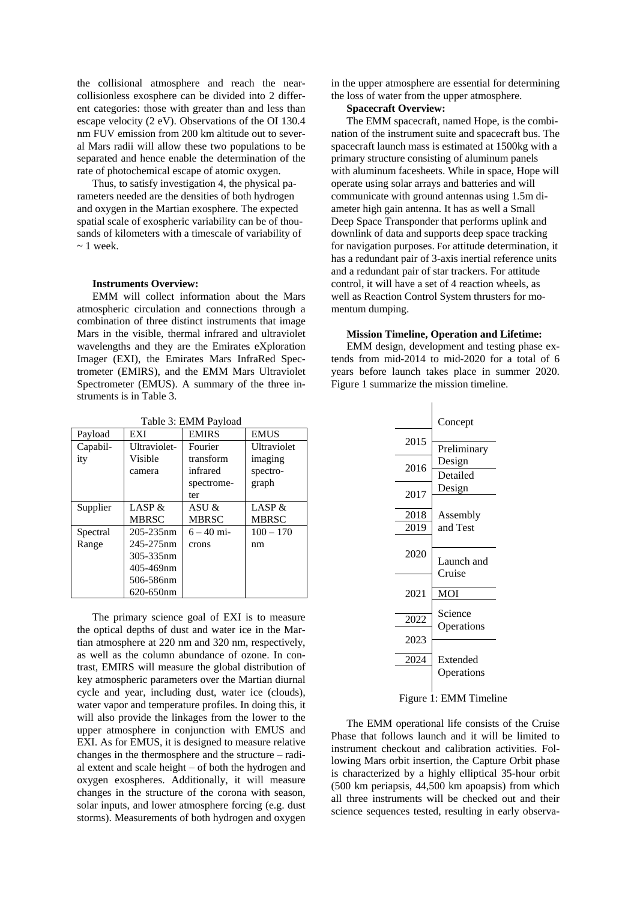the collisional atmosphere and reach the nearcollisionless exosphere can be divided into 2 different categories: those with greater than and less than escape velocity (2 eV). Observations of the OI 130.4 nm FUV emission from 200 km altitude out to several Mars radii will allow these two populations to be separated and hence enable the determination of the rate of photochemical escape of atomic oxygen.

Thus, to satisfy investigation 4, the physical parameters needed are the densities of both hydrogen and oxygen in the Martian exosphere. The expected spatial scale of exospheric variability can be of thousands of kilometers with a timescale of variability of  $\sim$  1 week.

#### **Instruments Overview:**

EMM will collect information about the Mars atmospheric circulation and connections through a combination of three distinct instruments that image Mars in the visible, thermal infrared and ultraviolet wavelengths and they are the Emirates eXploration Imager (EXI), the Emirates Mars InfraRed Spectrometer (EMIRS), and the EMM Mars Ultraviolet Spectrometer (EMUS). A summary of the three instruments is in Table 3.

| Payload  | EXI            | <b>EMIRS</b> | <b>EMUS</b>  |
|----------|----------------|--------------|--------------|
| Capabil- | Ultraviolet-   | Fourier      | Ultraviolet  |
| ity      | Visible        | transform    | imaging      |
|          | camera         | infrared     | spectro-     |
|          |                | spectrome-   | graph        |
|          |                | ter          |              |
| Supplier | LASP &         | ASU $\&$     | LASP $\&$    |
|          | <b>MBRSC</b>   | <b>MBRSC</b> | <b>MBRSC</b> |
| Spectral | $205 - 235$ nm | $6 - 40$ mi- | $100 - 170$  |
| Range    | 245-275nm      | crons        | nm           |
|          | 305-335nm      |              |              |
|          | 405-469nm      |              |              |
|          | 506-586nm      |              |              |
|          | 620-650nm      |              |              |

Table 3: EMM Payload

The primary science goal of EXI is to measure the optical depths of dust and water ice in the Martian atmosphere at 220 nm and 320 nm, respectively, as well as the column abundance of ozone. In contrast, EMIRS will measure the global distribution of key atmospheric parameters over the Martian diurnal cycle and year, including dust, water ice (clouds), water vapor and temperature profiles. In doing this, it will also provide the linkages from the lower to the upper atmosphere in conjunction with EMUS and EXI. As for EMUS, it is designed to measure relative changes in the thermosphere and the structure – radial extent and scale height – of both the hydrogen and oxygen exospheres. Additionally, it will measure changes in the structure of the corona with season, solar inputs, and lower atmosphere forcing (e.g. dust storms). Measurements of both hydrogen and oxygen

in the upper atmosphere are essential for determining the loss of water from the upper atmosphere.

## **Spacecraft Overview:**

The EMM spacecraft, named Hope, is the combination of the instrument suite and spacecraft bus. The spacecraft launch mass is estimated at 1500kg with a primary structure consisting of aluminum panels with aluminum facesheets. While in space, Hope will operate using solar arrays and batteries and will communicate with ground antennas using 1.5m diameter high gain antenna. It has as well a Small Deep Space Transponder that performs uplink and downlink of data and supports deep space tracking for navigation purposes. For attitude determination, it has a redundant pair of 3-axis inertial reference units and a redundant pair of star trackers. For attitude control, it will have a set of 4 reaction wheels, as well as Reaction Control System thrusters for momentum dumping.

### **Mission Timeline, Operation and Lifetime:**

EMM design, development and testing phase extends from mid-2014 to mid-2020 for a total of 6 years before launch takes place in summer 2020. Figure 1 summarize the mission timeline.

|              | Concept               |
|--------------|-----------------------|
| 2015         | Preliminary           |
| 2016         | Design<br>Detailed    |
| 2017         | Design                |
| 2018         | Assembly              |
| 2019         | and Test              |
| 2020         | Launch and<br>Cruise  |
| 2021         | <b>MOI</b>            |
| 2022<br>2023 | Science<br>Operations |
| 2024         | Extended              |
|              | Operations            |
|              |                       |

Figure 1: EMM Timeline

The EMM operational life consists of the Cruise Phase that follows launch and it will be limited to instrument checkout and calibration activities. Following Mars orbit insertion, the Capture Orbit phase is characterized by a highly elliptical 35-hour orbit (500 km periapsis, 44,500 km apoapsis) from which all three instruments will be checked out and their science sequences tested, resulting in early observa